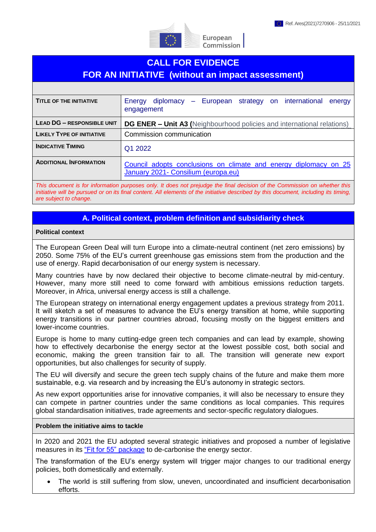

# **CALL FOR EVIDENCE FOR AN INITIATIVE (without an impact assessment)**

| <b>TITLE OF THE INITIATIVE</b>    | Energy diplomacy – European strategy on international energy<br>engagement                              |
|-----------------------------------|---------------------------------------------------------------------------------------------------------|
| <b>LEAD DG - RESPONSIBLE UNIT</b> | <b>DG ENER – Unit A3 (Neighbourhood policies and international relations)</b>                           |
| <b>LIKELY TYPE OF INITIATIVE</b>  | Commission communication                                                                                |
| <b>INDICATIVE TIMING</b>          | Q1 2022                                                                                                 |
| <b>ADDITIONAL INFORMATION</b>     | Council adopts conclusions on climate and energy diplomacy on 25<br>January 2021- Consilium (europa.eu) |

*This document is for information purposes only. It does not prejudge the final decision of the Commission on whether this initiative will be pursued or on its final content. All elements of the initiative described by this document, including its timing, are subject to change.*

# **A. Political context, problem definition and subsidiarity check**

#### **Political context**

The European Green Deal will turn Europe into a climate-neutral continent (net zero emissions) by 2050. Some 75% of the EU's current greenhouse gas emissions stem from the production and the use of energy. Rapid decarbonisation of our energy system is necessary.

Many countries have by now declared their objective to become climate-neutral by mid-century. However, many more still need to come forward with ambitious emissions reduction targets. Moreover, in Africa, universal energy access is still a challenge.

The European strategy on international energy engagement updates a previous strategy from 2011. It will sketch a set of measures to advance the EU's energy transition at home, while supporting energy transitions in our partner countries abroad, focusing mostly on the biggest emitters and lower-income countries.

Europe is home to many cutting-edge green tech companies and can lead by example, showing how to effectively decarbonise the energy sector at the lowest possible cost, both social and economic, making the green transition fair to all. The transition will generate new export opportunities, but also challenges for security of supply.

The EU will diversify and secure the green tech supply chains of the future and make them more sustainable, e.g. via research and by increasing the EU's autonomy in strategic sectors.

As new export opportunities arise for innovative companies, it will also be necessary to ensure they can compete in partner countries under the same conditions as local companies. This requires global standardisation initiatives, trade agreements and sector-specific regulatory dialogues.

#### **Problem the initiative aims to tackle**

In 2020 and 2021 the EU adopted several strategic initiatives and proposed a number of legislative measures in its ["Fit for 55"](https://ec.europa.eu/commission/presscorner/detail/en/IP_21_3541) package to de-carbonise the energy sector.

The transformation of the EU's energy system will trigger major changes to our traditional energy policies, both domestically and externally.

 The world is still suffering from slow, uneven, uncoordinated and insufficient decarbonisation efforts.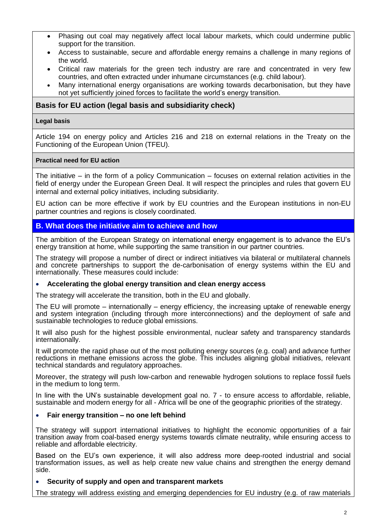- Phasing out coal may negatively affect local labour markets, which could undermine public support for the transition.
- Access to sustainable, secure and affordable energy remains a challenge in many regions of the world.
- Critical raw materials for the green tech industry are rare and concentrated in very few countries, and often extracted under inhumane circumstances (e.g. child labour).
- Many international energy organisations are working towards decarbonisation, but they have not yet sufficiently joined forces to facilitate the world's energy transition.

## **Basis for EU action (legal basis and subsidiarity check)**

#### **Legal basis**

Article 194 on energy policy and Articles 216 and 218 on external relations in the Treaty on the Functioning of the European Union (TFEU).

#### **Practical need for EU action**

The initiative  $-$  in the form of a policy Communication  $-$  focuses on external relation activities in the field of energy under the European Green Deal. It will respect the principles and rules that govern EU internal and external policy initiatives, including subsidiarity.

EU action can be more effective if work by EU countries and the European institutions in non-EU partner countries and regions is closely coordinated.

### **B. What does the initiative aim to achieve and how**

The ambition of the European Strategy on international energy engagement is to advance the EU's energy transition at home, while supporting the same transition in our partner countries.

The strategy will propose a number of direct or indirect initiatives via bilateral or multilateral channels and concrete partnerships to support the de-carbonisation of energy systems within the EU and internationally. These measures could include:

#### **Accelerating the global energy transition and clean energy access**

The strategy will accelerate the transition, both in the EU and globally.

The EU will promote – internationally – energy efficiency, the increasing uptake of renewable energy and system integration (including through more interconnections) and the deployment of safe and sustainable technologies to reduce global emissions.

It will also push for the highest possible environmental, nuclear safety and transparency standards internationally.

It will promote the rapid phase out of the most polluting energy sources (e.g. coal) and advance further reductions in methane emissions across the globe. This includes aligning global initiatives, relevant technical standards and regulatory approaches.

Moreover, the strategy will push low-carbon and renewable hydrogen solutions to replace fossil fuels in the medium to long term.

In line with the UN's sustainable development goal no. 7 - to ensure access to affordable, reliable, sustainable and modern energy for all - Africa will be one of the geographic priorities of the strategy.

#### **Fair energy transition – no one left behind**

The strategy will support international initiatives to highlight the economic opportunities of a fair transition away from coal-based energy systems towards climate neutrality, while ensuring access to reliable and affordable electricity.

Based on the EU's own experience, it will also address more deep-rooted industrial and social transformation issues, as well as help create new value chains and strengthen the energy demand side.

#### **Security of supply and open and transparent markets**

The strategy will address existing and emerging dependencies for EU industry (e.g. of raw materials